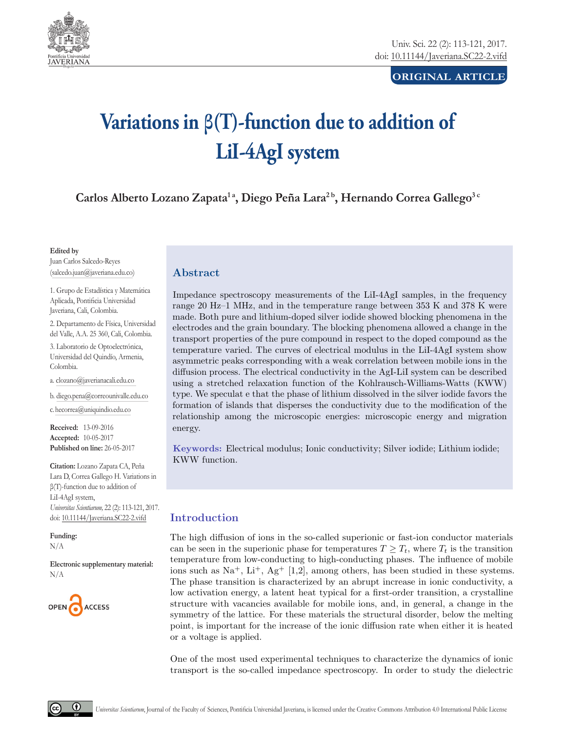

# **original article**

# **Variations in β(T)-function due to addition of LiI-4AgI system**

Carlos Alberto Lozano Zapata<sup>1</sup><sup>a</sup>, Diego Peña Lara<sup>2</sup><sup>b</sup>, Hernando Correa Gallego<sup>3</sup><sup>c</sup>

#### **Edited by**

Juan Carlos Salcedo-Reyes (salcedo.juan@javeriana.edu.co)

1. Grupo de Estadística y Matemática Aplicada, Pontificia Universidad Javeriana, Cali, Colombia.

2. Departamento de Física, Universidad del Valle, A.A. 25 360, Cali, Colombia.

3. Laboratorio de Optoelectrónica, Universidad del Quindío, Armenia, Colombia.

a. clozano@javerianacali.edu.co

b. diego.pena@correounivalle.edu.co

c. hecorrea@uniquindio.edu.co

**Received:** 13-09-2016 **Accepted:** 10-05-2017 **Published on line:** 26-05-2017

**Citation:** Lozano Zapata CA, Peña Lara D, Correa Gallego H. Variations in β(T)-function due to addition of LiI-4AgI system, *Universitas Scientiarum,* 22 (2): 113-121, 2017. doi: 10.11144/Javeriana.SC22-2.vifd

**Funding:** N/A

**Electronic supplementary material:** N/A



# Abstract

Impedance spectroscopy measurements of the LiI-4AgI samples, in the frequency range 20 Hz–1 MHz, and in the temperature range between 353 K and 378 K were made. Both pure and lithium-doped silver iodide showed blocking phenomena in the electrodes and the grain boundary. The blocking phenomena allowed a change in the transport properties of the pure compound in respect to the doped compound as the temperature varied. The curves of electrical modulus in the LiI-4AgI system show asymmetric peaks corresponding with a weak correlation between mobile ions in the diffusion process. The electrical conductivity in the AgI-LiI system can be described using a stretched relaxation function of the Kohlrausch-Williams-Watts (KWW) type. We speculat e that the phase of lithium dissolved in the silver iodide favors the formation of islands that disperses the conductivity due to the modification of the relationship among the microscopic energies: microscopic energy and migration energy.

Keywords: Electrical modulus; Ionic conductivity; Silver iodide; Lithium iodide; KWW function.

# Introduction

The high diffusion of ions in the so-called superionic or fast-ion conductor materials can be seen in the superionic phase for temperatures  $T \geq T_t$ , where  $T_t$  is the transition temperature from low-conducting to high-conducting phases. The influence of mobile ions such as  $\mathrm{Na}^+$ ,  $\mathrm{Li}^+$ ,  $\mathrm{Ag}^+$  [1,2], among others, has been studied in these systems. The phase transition is characterized by an abrupt increase in ionic conductivity, a low activation energy, a latent heat typical for a first-order transition, a crystalline structure with vacancies available for mobile ions, and, in general, a change in the symmetry of the lattice. For these materials the structural disorder, below the melting point, is important for the increase of the ionic diffusion rate when either it is heated or a voltage is applied.

One of the most used experimental techniques to characterize the dynamics of ionic transport is the so-called impedance spectroscopy. In order to study the dielectric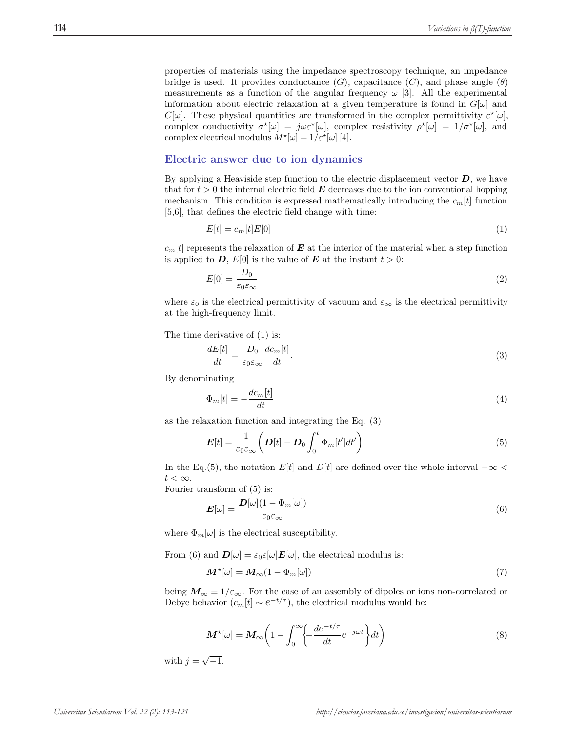properties of materials using the impedance spectroscopy technique, an impedance bridge is used. It provides conductance  $(G)$ , capacitance  $(C)$ , and phase angle  $(\theta)$ measurements as a function of the angular frequency  $\omega$  [3]. All the experimental information about electric relaxation at a given temperature is found in  $G[\omega]$  and  $C[\omega]$ . These physical quantities are transformed in the complex permittivity  $\varepsilon^*[\omega]$ , complex conductivity  $\sigma^*[\omega] = j\omega \varepsilon^*[\omega]$ , complex resistivity  $\rho^*[\omega] = 1/\sigma^*[\omega]$ , and complex electrical modulus  $M^{\star}[\omega] = 1/\varepsilon^{\star}[\omega]$  [4].

## Electric answer due to ion dynamics

By applying a Heaviside step function to the electric displacement vector  $D$ , we have that for  $t > 0$  the internal electric field  $\boldsymbol{E}$  decreases due to the ion conventional hopping mechanism. This condition is expressed mathematically introducing the  $c_m[t]$  function [5,6], that defines the electric field change with time:

$$
E[t] = c_m[t]E[0] \tag{1}
$$

 $c_m[t]$  represents the relaxation of  $\boldsymbol{E}$  at the interior of the material when a step function is applied to D,  $E[0]$  is the value of E at the instant  $t > 0$ :

$$
E[0] = \frac{D_0}{\varepsilon_0 \varepsilon_\infty} \tag{2}
$$

where  $\varepsilon_0$  is the electrical permittivity of vacuum and  $\varepsilon_{\infty}$  is the electrical permittivity at the high-frequency limit.

The time derivative of (1) is:

$$
\frac{dE[t]}{dt} = \frac{D_0}{\varepsilon_0 \varepsilon_\infty} \frac{dc_m[t]}{dt}.\tag{3}
$$

By denominating

$$
\Phi_m[t] = -\frac{dc_m[t]}{dt} \tag{4}
$$

as the relaxation function and integrating the Eq. (3)

$$
\boldsymbol{E}[t] = \frac{1}{\varepsilon_0 \varepsilon_\infty} \left( \boldsymbol{D}[t] - \boldsymbol{D}_0 \int_0^t \Phi_m[t'] dt' \right) \tag{5}
$$

In the Eq.(5), the notation E[t] and D[t] are defined over the whole interval  $-\infty$  <  $t < \infty$ .

Fourier transform of (5) is:

$$
E[\omega] = \frac{D[\omega](1 - \Phi_m[\omega])}{\varepsilon_0 \varepsilon_\infty} \tag{6}
$$

where  $\Phi_m[\omega]$  is the electrical susceptibility.

From (6) and  $\mathbf{D}[\omega] = \varepsilon_0 \varepsilon[\omega] \mathbf{E}[\omega]$ , the electrical modulus is:

$$
\mathbf{M}^{\star}[\omega] = \mathbf{M}_{\infty} (1 - \Phi_m[\omega]) \tag{7}
$$

being  $M_{\infty} \equiv 1/\varepsilon_{\infty}$ . For the case of an assembly of dipoles or ions non-correlated or Debye behavior  $(c_m[t] \sim e^{-t/\tau})$ , the electrical modulus would be:

$$
\mathbf{M}^{\star}[\omega] = \mathbf{M}_{\infty} \left( 1 - \int_0^{\infty} \left\{ -\frac{de^{-t/\tau}}{dt} e^{-j\omega t} \right\} dt \right) \tag{8}
$$

with  $j = \sqrt{-1}$ .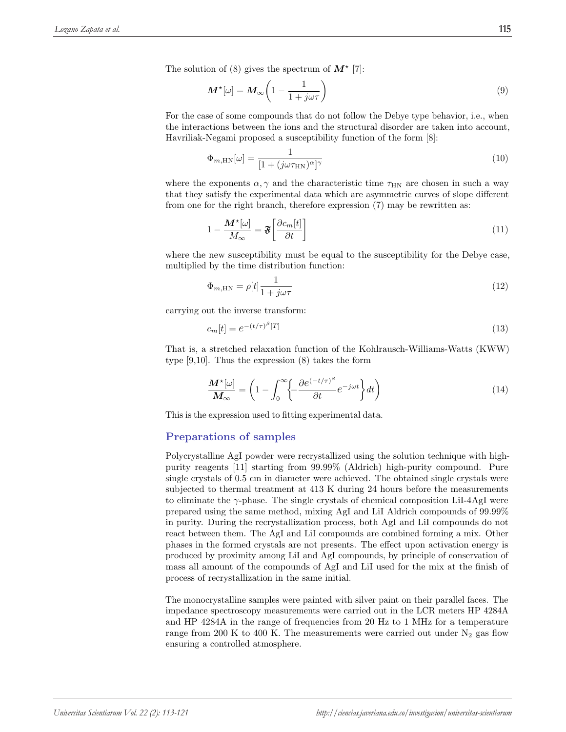The solution of (8) gives the spectrum of  $M^*$  [7]:

$$
\mathbf{M}^{\star}[\omega] = \mathbf{M}_{\infty} \left( 1 - \frac{1}{1 + j\omega\tau} \right) \tag{9}
$$

For the case of some compounds that do not follow the Debye type behavior, i.e., when the interactions between the ions and the structural disorder are taken into account, Havriliak-Negami proposed a susceptibility function of the form [8]:

$$
\Phi_{m,\text{HN}}[\omega] = \frac{1}{[1 + (j\omega\tau_{\text{HN}})^{\alpha}]^{\gamma}}
$$
\n(10)

where the exponents  $\alpha, \gamma$  and the characteristic time  $\tau_{HN}$  are chosen in such a way that they satisfy the experimental data which are asymmetric curves of slope different from one for the right branch, therefore expression (7) may be rewritten as:

$$
1 - \frac{\mathbf{M}^{\star}[\omega]}{M_{\infty}} = \mathfrak{F}\left[\frac{\partial c_m[t]}{\partial t}\right]
$$
\n(11)

where the new susceptibility must be equal to the susceptibility for the Debye case, multiplied by the time distribution function:

$$
\Phi_{m,\text{HN}} = \rho[t] \frac{1}{1 + j\omega\tau} \tag{12}
$$

carrying out the inverse transform:

$$
c_m[t] = e^{-(t/\tau)^{\beta}[T]} \tag{13}
$$

That is, a stretched relaxation function of the Kohlrausch-Williams-Watts (KWW) type [9,10]. Thus the expression (8) takes the form

$$
\frac{\mathbf{M}^{\star}[\omega]}{\mathbf{M}_{\infty}} = \left(1 - \int_{0}^{\infty} \left\{-\frac{\partial e^{(-t/\tau)^{\beta}}}{\partial t} e^{-j\omega t}\right\} dt\right) \tag{14}
$$

This is the expression used to fitting experimental data.

## Preparations of samples

Polycrystalline AgI powder were recrystallized using the solution technique with highpurity reagents [11] starting from 99.99% (Aldrich) high-purity compound. Pure single crystals of 0.5 cm in diameter were achieved. The obtained single crystals were subjected to thermal treatment at 413 K during 24 hours before the measurements to eliminate the  $\gamma$ -phase. The single crystals of chemical composition LiI-4AgI were prepared using the same method, mixing AgI and LiI Aldrich compounds of 99.99% in purity. During the recrystallization process, both AgI and LiI compounds do not react between them. The AgI and LiI compounds are combined forming a mix. Other phases in the formed crystals are not presents. The effect upon activation energy is produced by proximity among LiI and AgI compounds, by principle of conservation of mass all amount of the compounds of AgI and LiI used for the mix at the finish of process of recrystallization in the same initial.

The monocrystalline samples were painted with silver paint on their parallel faces. The impedance spectroscopy measurements were carried out in the LCR meters HP 4284A and HP 4284A in the range of frequencies from 20 Hz to 1 MHz for a temperature range from 200 K to 400 K. The measurements were carried out under  $N_2$  gas flow ensuring a controlled atmosphere.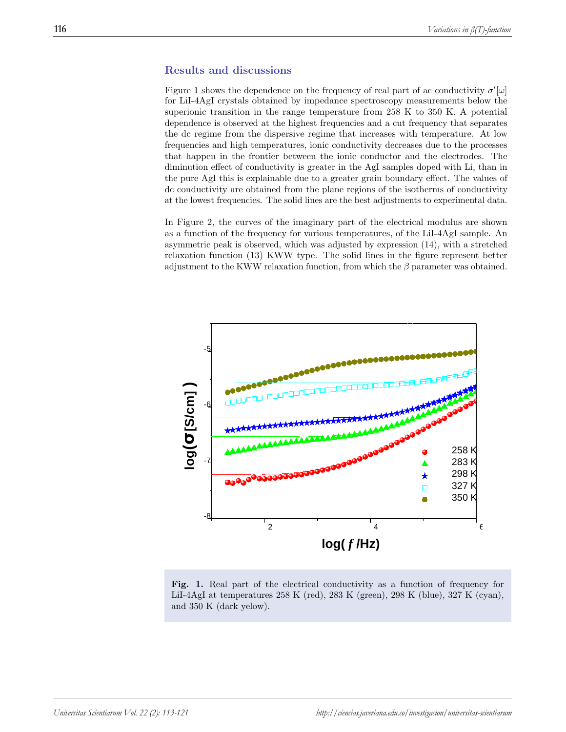## Results and discussions

Figure 1 shows the dependence on the frequency of real part of ac conductivity  $\sigma'[\omega]$ for LiI-4AgI crystals obtained by impedance spectroscopy measurements below the superionic transition in the range temperature from 258 K to 350 K. A potential dependence is observed at the highest frequencies and a cut frequency that separates the dc regime from the dispersive regime that increases with temperature. At low frequencies and high temperatures, ionic conductivity decreases due to the processes that happen in the frontier between the ionic conductor and the electrodes. The diminution effect of conductivity is greater in the AgI samples doped with Li, than in the pure AgI this is explainable due to a greater grain boundary effect. The values of dc conductivity are obtained from the plane regions of the isotherms of conductivity at the lowest frequencies. The solid lines are the best adjustments to experimental data.

In Figure 2, the curves of the imaginary part of the electrical modulus are shown as a function of the frequency for various temperatures, of the LiI-4AgI sample. An asymmetric peak is observed, which was adjusted by expression (14), with a stretched relaxation function (13) KWW type. The solid lines in the figure represent better adjustment to the KWW relaxation function, from which the  $\beta$  parameter was obtained.



Fig. 1. Real part of the electrical conductivity as a function of frequency for LiI-4AgI at temperatures 258 K (red), 283 K (green), 298 K (blue), 327 K (cyan), and 350 K (dark yelow).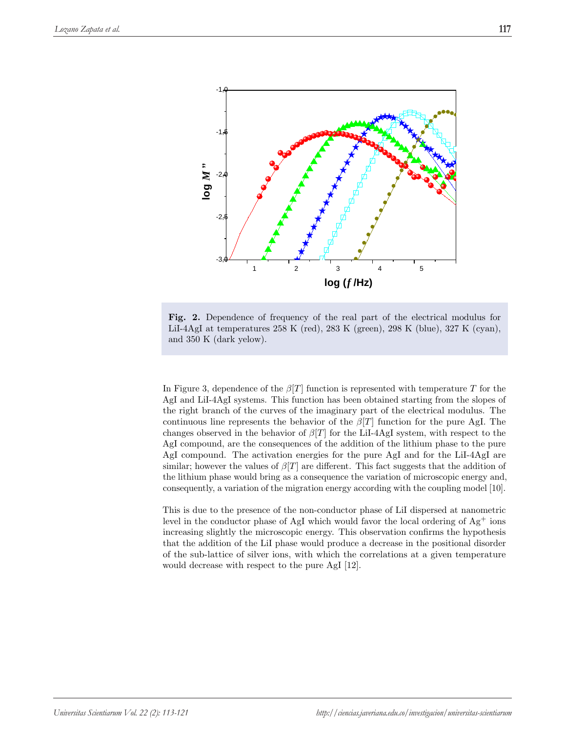

Fig. 2. Dependence of frequency of the real part of the electrical modulus for LiI-4AgI at temperatures 258 K (red), 283 K (green), 298 K (blue), 327 K (cyan), and 350 K (dark yelow).

In Figure 3, dependence of the  $\beta[T]$  function is represented with temperature T for the AgI and LiI-4AgI systems. This function has been obtained starting from the slopes of the right branch of the curves of the imaginary part of the electrical modulus. The continuous line represents the behavior of the  $\beta[T]$  function for the pure AgI. The changes observed in the behavior of  $\beta[T]$  for the LiI-4AgI system, with respect to the AgI compound, are the consequences of the addition of the lithium phase to the pure AgI compound. The activation energies for the pure AgI and for the LiI-4AgI are similar; however the values of  $\beta[T]$  are different. This fact suggests that the addition of the lithium phase would bring as a consequence the variation of microscopic energy and, consequently, a variation of the migration energy according with the coupling model [10].

This is due to the presence of the non-conductor phase of LiI dispersed at nanometric level in the conductor phase of AgI which would favor the local ordering of  $Ag^+$  ions increasing slightly the microscopic energy. This observation confirms the hypothesis that the addition of the LiI phase would produce a decrease in the positional disorder of the sub-lattice of silver ions, with which the correlations at a given temperature would decrease with respect to the pure AgI [12].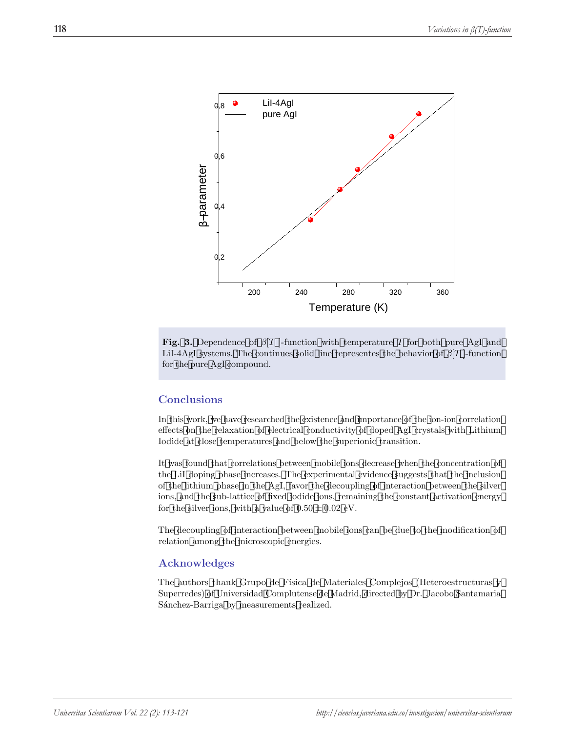

Fig. 3. Dependence of  $\beta$ [T]-function with temperature T for both pure AgI and LiI-4AgI systems. The continues solid line representes the behavior of  $\beta[T]$ -function for the pure AgI compound.

### Conclusions

In this work, we have researched the existence and importance of the ion-ion correlation effects on the relaxation of electrical conductivity of doped AgI crystals with Lithium Iodide at close temperatures and below the superionic transition.

It was found that correlations between mobile ions decrease when the concentration of the LiI doping phase increases. The experimental evidence suggests that the inclusion of the lithium phase in the AgI, favor the decoupling of interaction between the silver ions, and the sub-lattice of fixed iodide ions, remaining the constant activation energy for the silver ions, with a value of  $0.50 \pm 0.02$  eV.

The decoupling of interaction between mobile ions can be due to the modification of relation among the microscopic energies.

## Acknowledges

The authors thank Grupo de Física de Materiales Complejos (Heteroestructuras y Superredes) of Universidad Complutense de Madrid, directed by Dr. Jacobo Santamaria Sánchez-Barriga by measurements realized.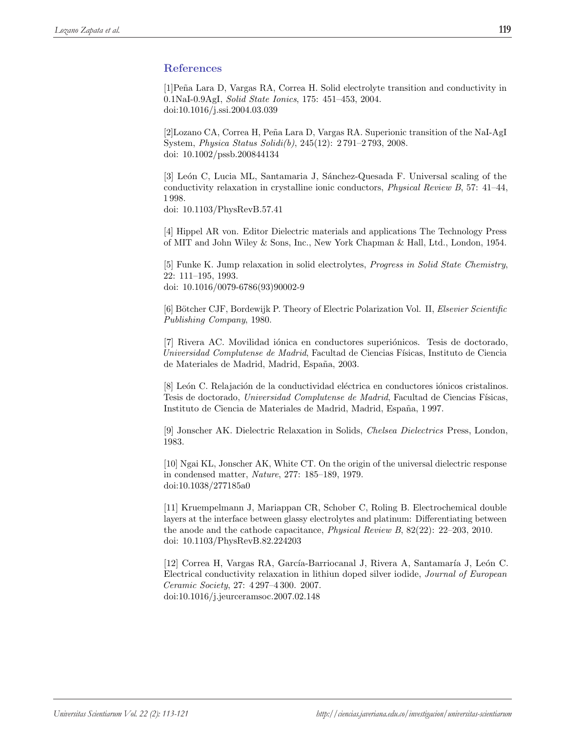# References

[1]Pe˜na Lara D, Vargas RA, Correa H. Solid electrolyte transition and conductivity in 0.1NaI-0.9AgI, Solid State Ionics, 175: 451–453, 2004. doi:10.1016/j.ssi.2004.03.039

[2]Lozano CA, Correa H, Peña Lara D, Vargas RA. Superionic transition of the NaI-AgI System, Physica Status Solidi(b), 245(12): 2 791–2 793, 2008. doi: 10.1002/pssb.200844134

[3] León C, Lucia ML, Santamaria J, Sánchez-Quesada F. Universal scaling of the conductivity relaxation in crystalline ionic conductors, Physical Review B, 57: 41–44, 1 998.

doi: 10.1103/PhysRevB.57.41

[4] Hippel AR von. Editor Dielectric materials and applications The Technology Press of MIT and John Wiley & Sons, Inc., New York Chapman & Hall, Ltd., London, 1954.

[5] Funke K. Jump relaxation in solid electrolytes, Progress in Solid State Chemistry, 22: 111–195, 1993. doi: 10.1016/0079-6786(93)90002-9

[6] Bötcher CJF, Bordewijk P. Theory of Electric Polarization Vol. II, Elsevier Scientific Publishing Company, 1980.

[7] Rivera AC. Movilidad iónica en conductores superiónicos. Tesis de doctorado, Universidad Complutense de Madrid, Facultad de Ciencias Físicas, Instituto de Ciencia de Materiales de Madrid, Madrid, España, 2003.

[8] León C. Relajación de la conductividad eléctrica en conductores iónicos cristalinos. Tesis de doctorado, Universidad Complutense de Madrid, Facultad de Ciencias Físicas, Instituto de Ciencia de Materiales de Madrid, Madrid, España, 1997.

[9] Jonscher AK. Dielectric Relaxation in Solids, Chelsea Dielectrics Press, London, 1983.

[10] Ngai KL, Jonscher AK, White CT. On the origin of the universal dielectric response in condensed matter, Nature, 277: 185–189, 1979. doi:10.1038/277185a0

[11] Kruempelmann J, Mariappan CR, Schober C, Roling B. Electrochemical double layers at the interface between glassy electrolytes and platinum: Differentiating between the anode and the cathode capacitance, Physical Review B, 82(22): 22–203, 2010. doi: 10.1103/PhysRevB.82.224203

[12] Correa H, Vargas RA, García-Barriocanal J, Rivera A, Santamaría J, León C. Electrical conductivity relaxation in lithiun doped silver iodide, Journal of European Ceramic Society, 27: 4 297–4 300. 2007. doi:10.1016/j.jeurceramsoc.2007.02.148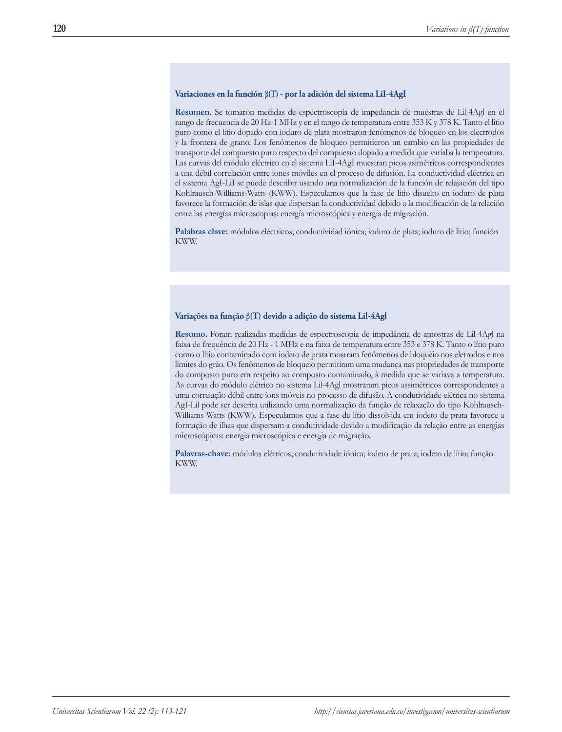#### **Variaciones en la función β(T) - por la adición del sistema LiI-4AgI**

**Resumen.** Se tomaron medidas de espectroscopía de impedancia de muestras de Lil-4Agl en el rango de frecuencia de 20 Hz-1 MHz y en el rango de temperatura entre 353 K y 378 K. Tanto el litio puro como el litio dopado con ioduro de plata mostraron fenómenos de bloqueo en los electrodos y la frontera de grano. Los fenómenos de bloqueo permitieron un cambio en las propiedades de transporte del compuesto puro respecto del compuesto dopado a medida que variaba la temperatura. Las curvas del módulo eléctrico en el sistema LiI-4AgI muestran picos asimétricos correspondientes a una débil correlación entre iones móviles en el proceso de difusión. La conductividad eléctrica en el sistema AgI-LiI se puede describir usando una normalización de la función de relajación del tipo Kohlrausch-Williams-Watts (KWW). Especulamos que la fase de litio disuelto en ioduro de plata favorece la formación de islas que dispersan la conductividad debido a la modificación de la relación entre las energías microscopias: energía microscópica y energía de migración.

**Palabras clave:** módulos eléctricos; conductividad iónica; ioduro de plata; ioduro de litio; función KWW.

#### **Variações na função β(T) devido a adição do sistema Lil-4Agl**

**Resumo.** Foram realizadas medidas de espectroscopia de impedância de amostras de Lil-4Agl na faixa de frequência de 20 Hz - 1 MHz e na faixa de temperatura entre 353 e 378 K. Tanto o lítio puro como o lítio contaminado com iodeto de prata mostram fenômenos de bloqueio nos eletrodos e nos limites do grão. Os fenômenos de bloqueio permitiram uma mudança nas propriedades de transporte do composto puro em respeito ao composto contaminado, à medida que se variava a temperatura. As curvas do módulo elétrico no sistema Lil-4Agl mostraram picos assimétricos correspondentes a uma correlação débil entre íons móveis no processo de difusão. A condutividade elétrica no sistema AgI-Lil pode ser descrita utilizando uma normalização da função de relaxação do tipo Kohlrausch-Williams-Watts (KWW). Especulamos que a fase de lítio dissolvida em iodeto de prata favorece a formação de ilhas que dispersam a condutividade devido a modificação da relação entre as energias microscópicas: energia microscópica e energia de migração.

**Palavras-chave:** módulos elétricos; condutividade iónica; iodeto de prata; iodeto de lítio; função KWW.